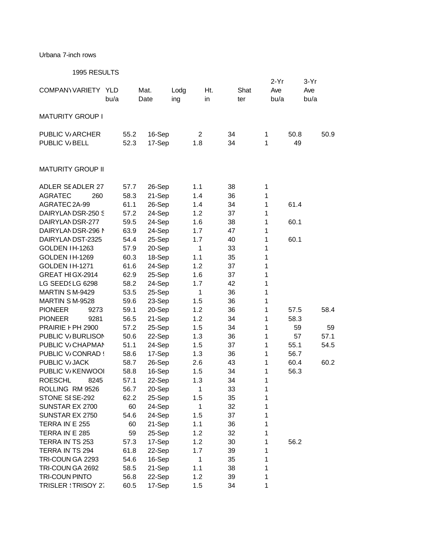## Urbana 7-inch rows

1995 RESULTS

| 1999 INLOULTO            |      |        |                |     |              | $2-Yr$ | 3-Yr |
|--------------------------|------|--------|----------------|-----|--------------|--------|------|
| COMPANY VARIETY YLD      |      | Mat.   | Lodg           | Ht. | Shat         | Ave    | Ave  |
|                          | bu/a | Date   | ing            | in  | ter          | bu/a   | bu/a |
| <b>MATURITY GROUP I</b>  |      |        |                |     |              |        |      |
| PUBLIC V/ ARCHER         | 55.2 | 16-Sep | $\overline{2}$ | 34  | 1            | 50.8   | 50.9 |
| PUBLIC V/BELL            | 52.3 | 17-Sep | 1.8            | 34  | 1            | 49     |      |
|                          |      |        |                |     |              |        |      |
| <b>MATURITY GROUP II</b> |      |        |                |     |              |        |      |
| <b>ADLER SEADLER 27</b>  | 57.7 | 26-Sep | 1.1            | 38  | 1            |        |      |
| <b>AGRATEC</b><br>260    | 58.3 | 21-Sep | 1.4            | 36  | 1            |        |      |
| AGRATEC 2A-99            | 61.1 | 26-Sep | 1.4            | 34  | 1            | 61.4   |      |
| DAIRYLANDSR-250 S        | 57.2 | 24-Sep | 1.2            | 37  | 1            |        |      |
| DAIRYLANDSR-277          | 59.5 | 24-Sep | 1.6            | 38  | 1            | 60.1   |      |
| DAIRYLANDSR-296 N        | 63.9 | 24-Sep | 1.7            | 47  | 1            |        |      |
| DAIRYLANDST-2325         | 54.4 | 25-Sep | 1.7            | 40  | 1            | 60.1   |      |
| GOLDEN IH-1263           | 57.9 | 20-Sep | 1              | 33  | 1            |        |      |
| <b>GOLDEN IH-1269</b>    | 60.3 | 18-Sep | 1.1            | 35  | 1            |        |      |
| GOLDEN IH-1271           | 61.6 | 24-Sep | 1.2            | 37  | 1            |        |      |
| GREAT HIGX-2914          | 62.9 | 25-Sep | 1.6            | 37  | 1            |        |      |
| LG SEEDSLG 6298          | 58.2 | 24-Sep | 1.7            | 42  | 1            |        |      |
| MARTIN S M-9429          | 53.5 | 25-Sep | 1              | 36  | 1            |        |      |
| MARTIN S M-9528          | 59.6 | 23-Sep | 1.5            | 36  | 1            |        |      |
| <b>PIONEER</b><br>9273   | 59.1 | 20-Sep | 1.2            | 36  | 1            | 57.5   | 58.4 |
| <b>PIONEER</b><br>9281   | 56.5 | 21-Sep | 1.2            | 34  | $\mathbf{1}$ | 58.3   |      |
| PRAIRIE F PH 2900        | 57.2 | 25-Sep | 1.5            | 34  | 1            | 59     | 59   |
| PUBLIC V/BURLISON        | 50.6 | 22-Sep | 1.3            | 36  | 1            | 57     | 57.1 |
| PUBLIC V/CHAPMAN         | 51.1 | 24-Sep | 1.5            | 37  | 1            | 55.1   | 54.5 |
| PUBLIC V/CONRAD !        | 58.6 | 17-Sep | 1.3            | 36  | 1            | 56.7   |      |
| PUBLIC V/JACK            | 58.7 | 26-Sep | 2.6            | 43  | 1            | 60.4   | 60.2 |
| PUBLIC V/KENWOOI         | 58.8 | 16-Sep | 1.5            | 34  | 1            | 56.3   |      |
| <b>ROESCHL</b><br>8245   | 57.1 | 22-Sep | 1.3            | 34  | 1            |        |      |
| ROLLING RM 9526          | 56.7 | 20-Sep | 1              | 33  | 1            |        |      |
| STONE SISE-292           | 62.2 | 25-Sep | 1.5            | 35  | 1            |        |      |
| SUNSTAR EX 2700          | 60   | 24-Sep | 1              | 32  | 1            |        |      |
| SUNSTAR EX 2750          | 54.6 | 24-Sep | 1.5            | 37  | 1            |        |      |
| TERRA IN E 255           | 60   | 21-Sep | 1.1            | 36  | 1            |        |      |
| TERRA IN E 285           | 59   | 25-Sep | 1.2            | 32  | 1            |        |      |
| TERRA IN TS 253          | 57.3 | 17-Sep | 1.2            | 30  | 1            | 56.2   |      |
| TERRA IN TS 294          | 61.8 | 22-Sep | 1.7            | 39  | 1            |        |      |
| TRI-COUN GA 2293         | 54.6 | 16-Sep | 1              | 35  | 1            |        |      |
| TRI-COUN GA 2692         | 58.5 | 21-Sep | 1.1            | 38  | 1            |        |      |
| <b>TRI-COUN PINTO</b>    | 56.8 | 22-Sep | 1.2            | 39  | 1            |        |      |
| TRISLER : TRISOY 27      | 60.5 | 17-Sep | 1.5            | 34  | 1            |        |      |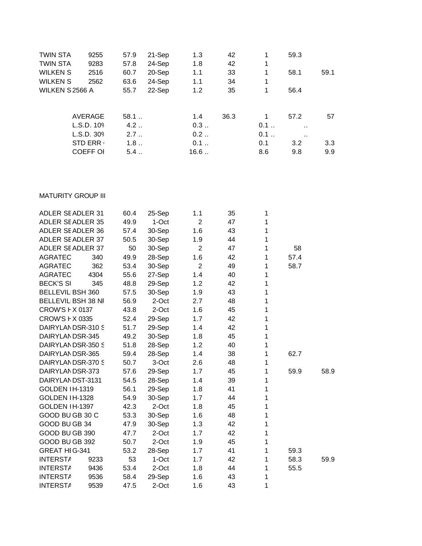| TWIN STA        | 9255            | 57.9 | 21-Sep | 1.3  | 42   | 1   | 59.3                 |      |
|-----------------|-----------------|------|--------|------|------|-----|----------------------|------|
| TWIN STA        | 9283            | 57.8 | 24-Sep | 1.8  | 42   | 1   |                      |      |
| WILKEN S        | 2516            | 60.7 | 20-Sep | 1.1  | 33   | 1   | 58.1                 | 59.1 |
| WILKEN S        | 2562            | 63.6 | 24-Sep | 1.1  | 34   | 1   |                      |      |
| WILKEN S 2566 A |                 | 55.7 | 22-Sep | 1.2  | 35   | 1   | 56.4                 |      |
|                 | AVERAGE         | 58.1 |        | 1.4  | 36.3 |     | 57.2                 | 57   |
|                 | L.S.D. 109      | 4.2  |        | 0.3  |      | 0.1 | $\ddot{\phantom{a}}$ |      |
|                 | L.S.D. 309      | 2.7  |        | 0.2  |      | 0.1 | $\ddot{\phantom{0}}$ |      |
|                 | <b>STD ERR</b>  | 1.8  |        | 0.1  |      | 0.1 | 3.2                  | 3.3  |
|                 | <b>COEFF OI</b> | 5.4  |        | 16.6 |      | 8.6 | 9.8                  | 9.9  |
|                 |                 |      |        |      |      |     |                      |      |

## **MATURITY GROUP III**

| <b>ADLER SEADLER 31</b> |      | 60.4 | 25-Sep | 1.1            | 35 | 1            |      |      |
|-------------------------|------|------|--------|----------------|----|--------------|------|------|
| ADLER SEADLER 35        |      | 49.9 | 1-Oct  | $\overline{2}$ | 47 | 1            |      |      |
| ADLER SEADLER 36        |      | 57.4 | 30-Sep | 1.6            | 43 | 1            |      |      |
| ADLER SEADLER 37        |      | 50.5 | 30-Sep | 1.9            | 44 | 1            |      |      |
| ADLER SEADLER 37        |      | 50   | 30-Sep | $\overline{2}$ | 47 | 1            | 58   |      |
| <b>AGRATEC</b>          | 340  | 49.9 | 28-Sep | 1.6            | 42 | 1            | 57.4 |      |
| <b>AGRATEC</b>          | 362  | 53.4 | 30-Sep | 2              | 49 | $\mathbf{1}$ | 58.7 |      |
| AGRATEC                 | 4304 | 55.6 | 27-Sep | 1.4            | 40 | 1            |      |      |
| <b>BECK'S SI</b>        | 345  | 48.8 | 29-Sep | 1.2            | 42 | 1            |      |      |
| BELLEVIL BSH 360        |      | 57.5 | 30-Sep | 1.9            | 43 | 1            |      |      |
| BELLEVIL BSH 38 NI      |      | 56.9 | 2-Oct  | 2.7            | 48 | 1            |      |      |
| <b>CROW'S F X 0137</b>  |      | 43.8 | 2-Oct  | 1.6            | 45 | 1            |      |      |
| CROW'S F X 0335         |      | 52.4 | 29-Sep | 1.7            | 42 | 1            |      |      |
| DAIRYLANDSR-310 S       |      | 51.7 | 29-Sep | 1.4            | 42 | 1            |      |      |
| DAIRYLANDSR-345         |      | 49.2 | 30-Sep | 1.8            | 45 | 1            |      |      |
| DAIRYLANDSR-350 S       |      | 51.8 | 28-Sep | 1.2            | 40 | 1            |      |      |
| DAIRYLANDSR-365         |      | 59.4 | 28-Sep | 1.4            | 38 | 1            | 62.7 |      |
| DAIRYLANDSR-370 S       |      | 50.7 | 3-Oct  | 2.6            | 48 | 1            |      |      |
| DAIRYLANDSR-373         |      | 57.6 | 29-Sep | 1.7            | 45 | 1            | 59.9 | 58.9 |
| DAIRYLANDST-3131        |      | 54.5 | 28-Sep | 1.4            | 39 | 1            |      |      |
| GOLDEN IH-1319          |      | 56.1 | 29-Sep | 1.8            | 41 | 1            |      |      |
| GOLDEN IH-1328          |      | 54.9 | 30-Sep | 1.7            | 44 | 1            |      |      |
| GOLDEN IH-1397          |      | 42.3 | 2-Oct  | 1.8            | 45 | 1            |      |      |
| GOOD BUGB 30 C          |      | 53.3 | 30-Sep | 1.6            | 48 | 1            |      |      |
| GOOD BU GB 34           |      | 47.9 | 30-Sep | 1.3            | 42 | 1            |      |      |
| GOOD BU GB 390          |      | 47.7 | 2-Oct  | 1.7            | 42 | 1            |      |      |
| GOOD BU GB 392          |      | 50.7 | 2-Oct  | 1.9            | 45 | 1            |      |      |
| GREAT HIG-341           |      | 53.2 | 28-Sep | 1.7            | 41 | 1            | 59.3 |      |
| <b>INTERSTA</b>         | 9233 | 53   | 1-Oct  | 1.7            | 42 | 1            | 58.3 | 59.9 |
| <b>INTERSTA</b>         | 9436 | 53.4 | 2-Oct  | 1.8            | 44 | 1            | 55.5 |      |
| <b>INTERSTA</b>         | 9536 | 58.4 | 29-Sep | 1.6            | 43 | 1            |      |      |
| <b>INTERSTA</b>         | 9539 | 47.5 | 2-Oct  | 1.6            | 43 | 1            |      |      |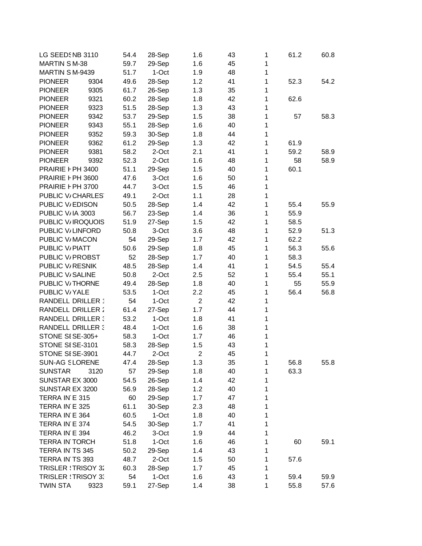| LG SEEDSNB 3110             |      | 54.4 | 28-Sep          | 1.6            | 43 | 1            | 61.2 | 60.8 |
|-----------------------------|------|------|-----------------|----------------|----|--------------|------|------|
| <b>MARTIN SM-38</b>         |      | 59.7 | 29-Sep          | 1.6            | 45 | 1            |      |      |
| MARTIN S M-9439             |      | 51.7 | 1-Oct           | 1.9            | 48 | 1            |      |      |
| <b>PIONEER</b>              | 9304 | 49.6 | 28-Sep          | 1.2            | 41 | 1            | 52.3 | 54.2 |
| <b>PIONEER</b>              | 9305 | 61.7 | 26-Sep          | 1.3            | 35 | 1            |      |      |
| <b>PIONEER</b>              | 9321 | 60.2 | 28-Sep          | 1.8            | 42 | 1            | 62.6 |      |
| <b>PIONEER</b>              | 9323 | 51.5 | 28-Sep          | 1.3            | 43 | 1            |      |      |
| <b>PIONEER</b>              | 9342 | 53.7 | 29-Sep          | 1.5            | 38 | $\mathbf{1}$ | 57   | 58.3 |
| <b>PIONEER</b>              | 9343 | 55.1 | 28-Sep          | 1.6            | 40 | $\mathbf{1}$ |      |      |
| <b>PIONEER</b>              | 9352 | 59.3 | 30-Sep          | 1.8            | 44 | $\mathbf{1}$ |      |      |
| <b>PIONEER</b>              | 9362 | 61.2 | 29-Sep          | 1.3            | 42 | 1            | 61.9 |      |
| <b>PIONEER</b>              | 9381 | 58.2 | 2-Oct           | 2.1            | 41 | 1            | 59.2 | 58.9 |
| <b>PIONEER</b>              | 9392 | 52.3 | 2-Oct           | 1.6            | 48 | 1            | 58   | 58.9 |
| PRAIRIE F PH 3400           |      | 51.1 | 29-Sep          | 1.5            | 40 | 1            | 60.1 |      |
| PRAIRIE F PH 3600           |      | 47.6 | 3-Oct           | 1.6            | 50 | 1            |      |      |
| PRAIRIE F PH 3700           |      | 44.7 | 3-Oct           | 1.5            | 46 | $\mathbf{1}$ |      |      |
| PUBLIC V/CHARLES            |      | 49.1 | 2-Oct           | 1.1            | 28 | $\mathbf{1}$ |      |      |
| PUBLIC V/EDISON             |      | 50.5 | 28-Sep          | 1.4            | 42 | $\mathbf{1}$ | 55.4 | 55.9 |
| PUBLIC V/IA 3003            |      | 56.7 | 23-Sep          | 1.4            | 36 | 1            | 55.9 |      |
| PUBLIC V/IROQUOIS           |      | 51.9 | 27-Sep          | 1.5            | 42 | 1            | 58.5 |      |
| PUBLIC V/LINFORD            |      | 50.8 | 3-Oct           | 3.6            | 48 | 1            | 52.9 | 51.3 |
| PUBLIC V/MACON              |      | 54   | 29-Sep          | 1.7            | 42 | 1            | 62.2 |      |
| PUBLIC V/PIATT              |      | 50.6 | 29-Sep          | 1.8            | 45 | 1            | 56.3 | 55.6 |
| PUBLIC V/ PROBST            |      | 52   | 28-Sep          | 1.7            | 40 | $\mathbf{1}$ | 58.3 |      |
| PUBLIC V/RESNIK             |      | 48.5 |                 | 1.4            | 41 | $\mathbf{1}$ | 54.5 | 55.4 |
| PUBLIC V/SALINE             |      |      | 28-Sep<br>2-Oct |                |    | $\mathbf{1}$ |      |      |
|                             |      | 50.8 |                 | 2.5            | 52 |              | 55.4 | 55.1 |
| PUBLIC V <sub>/THORNE</sub> |      | 49.4 | 28-Sep          | 1.8            | 40 | 1            | 55   | 55.9 |
| PUBLIC V/YALE               |      | 53.5 | 1-Oct           | 2.2            | 45 | 1            | 56.4 | 56.8 |
| RANDELL DRILLER *           |      | 54   | 1-Oct           | $\overline{2}$ | 42 | 1            |      |      |
| <b>RANDELL DRILLER:</b>     |      | 61.4 | 27-Sep          | 1.7            | 44 | 1            |      |      |
| <b>RANDELL DRILLER:</b>     |      | 53.2 | 1-Oct           | 1.8            | 41 | 1            |      |      |
| <b>RANDELL DRILLER 3</b>    |      | 48.4 | 1-Oct           | 1.6            | 38 | 1            |      |      |
| STONE SISE-305+             |      | 58.3 | 1-Oct           | 1.7            | 46 | $\mathbf{1}$ |      |      |
| STONE SISE-3101             |      | 58.3 | 28-Sep          | 1.5            | 43 | 1            |      |      |
| STONE SISE-3901             |      | 44.7 | 2-Oct           | $\overline{2}$ | 45 | 1            |      |      |
| <b>SUN-AG SLORENE</b>       |      | 47.4 | 28-Sep          | 1.3            | 35 | 1            | 56.8 | 55.8 |
| <b>SUNSTAR</b>              | 3120 | 57   | 29-Sep          | 1.8            | 40 | 1            | 63.3 |      |
| SUNSTAR EX 3000             |      | 54.5 | 26-Sep          | 1.4            | 42 | 1            |      |      |
| SUNSTAR EX 3200             |      | 56.9 | 28-Sep          | 1.2            | 40 | 1            |      |      |
| TERRA IN E 315              |      | 60   | 29-Sep          | 1.7            | 47 | 1            |      |      |
| TERRA IN E 325              |      | 61.1 | 30-Sep          | 2.3            | 48 | 1            |      |      |
| TERRA IN E 364              |      | 60.5 | 1-Oct           | 1.8            | 40 | 1            |      |      |
| TERRA IN E 374              |      | 54.5 | 30-Sep          | 1.7            | 41 | 1            |      |      |
| TERRA IN E 394              |      | 46.2 | 3-Oct           | 1.9            | 44 | 1            |      |      |
| <b>TERRA IN TORCH</b>       |      | 51.8 | 1-Oct           | 1.6            | 46 | 1            | 60   | 59.1 |
| TERRA IN TS 345             |      | 50.2 | 29-Sep          | 1.4            | 43 | 1            |      |      |
| TERRA IN TS 393             |      | 48.7 | 2-Oct           | 1.5            | 50 | 1            | 57.6 |      |
| <b>TRISLER : TRISOY 32</b>  |      | 60.3 | 28-Sep          | 1.7            | 45 | 1            |      |      |
| <b>TRISLER : TRISOY 3:</b>  |      | 54   | 1-Oct           | 1.6            | 43 | 1            | 59.4 | 59.9 |
| <b>TWIN STA</b>             | 9323 | 59.1 | 27-Sep          | 1.4            | 38 | 1            | 55.8 | 57.6 |